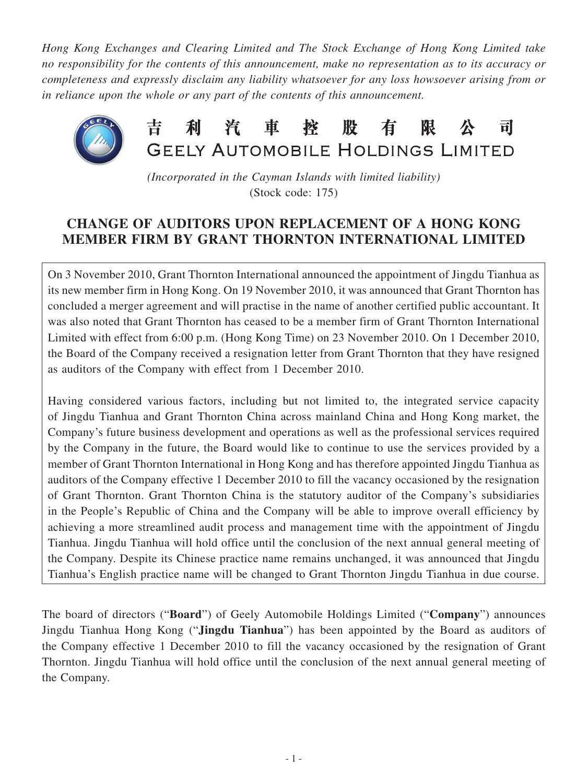*Hong Kong Exchanges and Clearing Limited and The Stock Exchange of Hong Kong Limited take no responsibility for the contents of this announcement, make no representation as to its accuracy or completeness and expressly disclaim any liability whatsoever for any loss howsoever arising from or in reliance upon the whole or any part of the contents of this announcement.*



*(Incorporated in the Cayman Islands with limited liability)* (Stock code: 175)

## **CHANGE OF AUDITORS UPON REPLACEMENT OF A HONG KONG MEMBER FIRM BY GRANT THORNTON INTERNATIONAL LIMITED**

On 3 November 2010, Grant Thornton International announced the appointment of Jingdu Tianhua as its new member firm in Hong Kong. On 19 November 2010, it was announced that Grant Thornton has concluded a merger agreement and will practise in the name of another certified public accountant. It was also noted that Grant Thornton has ceased to be a member firm of Grant Thornton International Limited with effect from 6:00 p.m. (Hong Kong Time) on 23 November 2010. On 1 December 2010, the Board of the Company received a resignation letter from Grant Thornton that they have resigned as auditors of the Company with effect from 1 December 2010.

Having considered various factors, including but not limited to, the integrated service capacity of Jingdu Tianhua and Grant Thornton China across mainland China and Hong Kong market, the Company's future business development and operations as well as the professional services required by the Company in the future, the Board would like to continue to use the services provided by a member of Grant Thornton International in Hong Kong and has therefore appointed Jingdu Tianhua as auditors of the Company effective 1 December 2010 to fill the vacancy occasioned by the resignation of Grant Thornton. Grant Thornton China is the statutory auditor of the Company's subsidiaries in the People's Republic of China and the Company will be able to improve overall efficiency by achieving a more streamlined audit process and management time with the appointment of Jingdu Tianhua. Jingdu Tianhua will hold office until the conclusion of the next annual general meeting of the Company. Despite its Chinese practice name remains unchanged, it was announced that Jingdu Tianhua's English practice name will be changed to Grant Thornton Jingdu Tianhua in due course.

The board of directors ("**Board**") of Geely Automobile Holdings Limited ("**Company**") announces Jingdu Tianhua Hong Kong ("**Jingdu Tianhua**") has been appointed by the Board as auditors of the Company effective 1 December 2010 to fill the vacancy occasioned by the resignation of Grant Thornton. Jingdu Tianhua will hold office until the conclusion of the next annual general meeting of the Company.